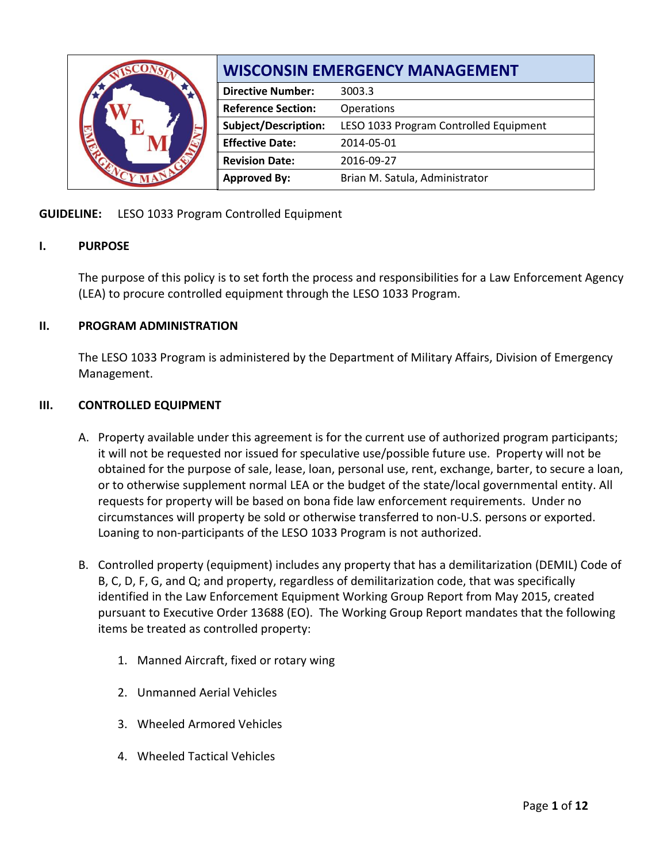|  | <b>WISCONSIN EMERGENCY MANAGEMENT</b> |                                        |  |  |  |
|--|---------------------------------------|----------------------------------------|--|--|--|
|  | <b>Directive Number:</b>              | 3003.3                                 |  |  |  |
|  | <b>Reference Section:</b>             | Operations                             |  |  |  |
|  | <b>Subject/Description:</b>           | LESO 1033 Program Controlled Equipment |  |  |  |
|  | <b>Effective Date:</b>                | 2014-05-01                             |  |  |  |
|  | <b>Revision Date:</b>                 | 2016-09-27                             |  |  |  |
|  | <b>Approved By:</b>                   | Brian M. Satula, Administrator         |  |  |  |

# **GUIDELINE:** LESO 1033 Program Controlled Equipment

## **I. PURPOSE**

The purpose of this policy is to set forth the process and responsibilities for a Law Enforcement Agency (LEA) to procure controlled equipment through the LESO 1033 Program.

## **II. PROGRAM ADMINISTRATION**

The LESO 1033 Program is administered by the Department of Military Affairs, Division of Emergency Management.

### **III. CONTROLLED EQUIPMENT**

- A. Property available under this agreement is for the current use of authorized program participants; it will not be requested nor issued for speculative use/possible future use. Property will not be obtained for the purpose of sale, lease, loan, personal use, rent, exchange, barter, to secure a loan, or to otherwise supplement normal LEA or the budget of the state/local governmental entity. All requests for property will be based on bona fide law enforcement requirements. Under no circumstances will property be sold or otherwise transferred to non-U.S. persons or exported. Loaning to non-participants of the LESO 1033 Program is not authorized.
- B. Controlled property (equipment) includes any property that has a demilitarization (DEMIL) Code of B, C, D, F, G, and Q; and property, regardless of demilitarization code, that was specifically identified in the Law Enforcement Equipment Working Group Report from May 2015, created pursuant to Executive Order 13688 (EO). The Working Group Report mandates that the following items be treated as controlled property:
	- 1. Manned Aircraft, fixed or rotary wing
	- 2. Unmanned Aerial Vehicles
	- 3. Wheeled Armored Vehicles
	- 4. Wheeled Tactical Vehicles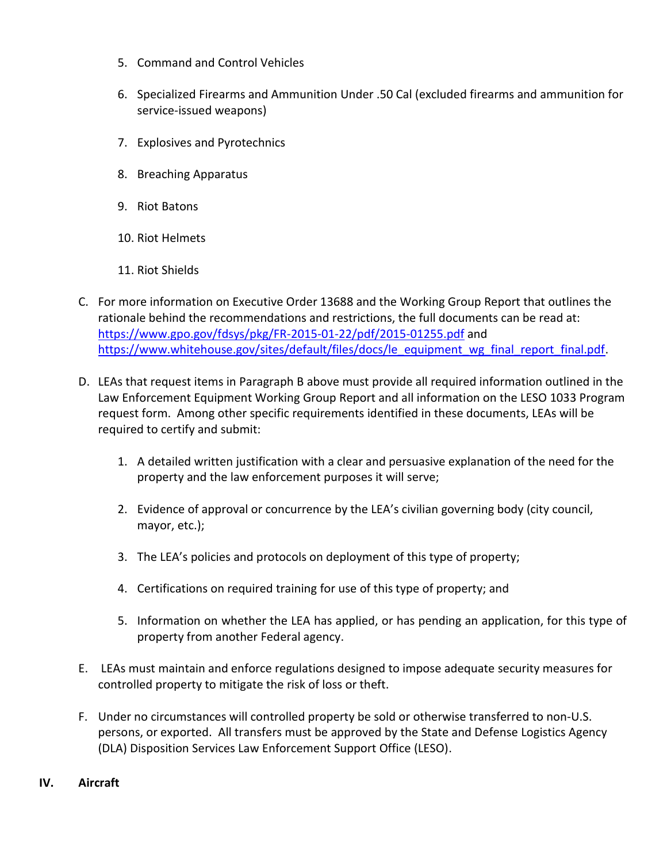- 5. Command and Control Vehicles
- 6. Specialized Firearms and Ammunition Under .50 Cal (excluded firearms and ammunition for service-issued weapons)
- 7. Explosives and Pyrotechnics
- 8. Breaching Apparatus
- 9. Riot Batons
- 10. Riot Helmets
- 11. Riot Shields
- C. For more information on Executive Order 13688 and the Working Group Report that outlines the rationale behind the recommendations and restrictions, the full documents can be read at: <https://www.gpo.gov/fdsys/pkg/FR-2015-01-22/pdf/2015-01255.pdf> and [https://www.whitehouse.gov/sites/default/files/docs/le\\_equipment\\_wg\\_final\\_report\\_final.pdf.](https://www.whitehouse.gov/sites/default/files/docs/le_equipment_wg_final_report_final.pdf)
- D. LEAs that request items in Paragraph B above must provide all required information outlined in the Law Enforcement Equipment Working Group Report and all information on the LESO 1033 Program request form. Among other specific requirements identified in these documents, LEAs will be required to certify and submit:
	- 1. A detailed written justification with a clear and persuasive explanation of the need for the property and the law enforcement purposes it will serve;
	- 2. Evidence of approval or concurrence by the LEA's civilian governing body (city council, mayor, etc.);
	- 3. The LEA's policies and protocols on deployment of this type of property;
	- 4. Certifications on required training for use of this type of property; and
	- 5. Information on whether the LEA has applied, or has pending an application, for this type of property from another Federal agency.
- E. LEAs must maintain and enforce regulations designed to impose adequate security measures for controlled property to mitigate the risk of loss or theft.
- F. Under no circumstances will controlled property be sold or otherwise transferred to non-U.S. persons, or exported. All transfers must be approved by the State and Defense Logistics Agency (DLA) Disposition Services Law Enforcement Support Office (LESO).

### **IV. Aircraft**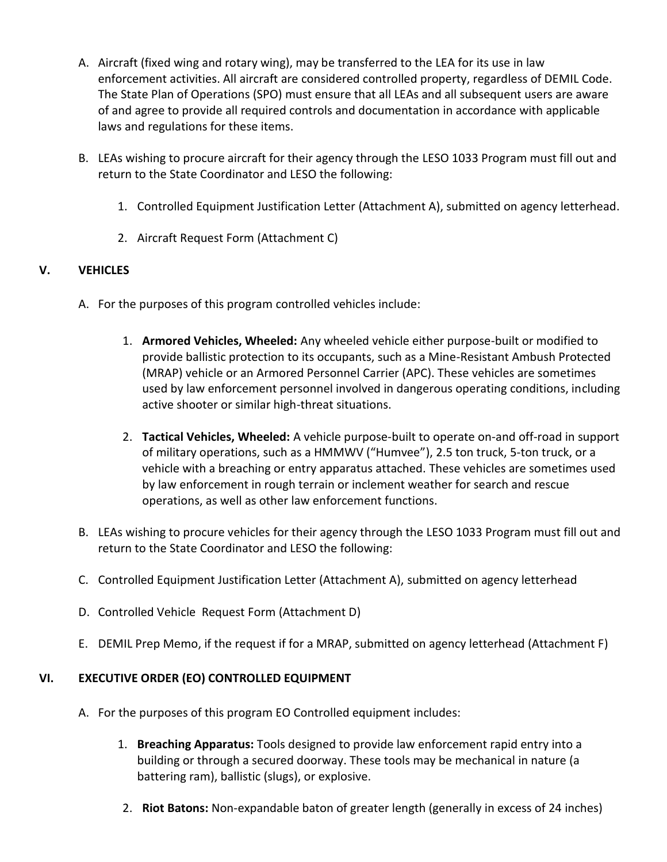- A. Aircraft (fixed wing and rotary wing), may be transferred to the LEA for its use in law enforcement activities. All aircraft are considered controlled property, regardless of DEMIL Code. The State Plan of Operations (SPO) must ensure that all LEAs and all subsequent users are aware of and agree to provide all required controls and documentation in accordance with applicable laws and regulations for these items.
- B. LEAs wishing to procure aircraft for their agency through the LESO 1033 Program must fill out and return to the State Coordinator and LESO the following:
	- 1. Controlled Equipment Justification Letter (Attachment A), submitted on agency letterhead.
	- 2. Aircraft Request Form (Attachment C)

# **V. VEHICLES**

- A. For the purposes of this program controlled vehicles include:
	- 1. **Armored Vehicles, Wheeled:** Any wheeled vehicle either purpose-built or modified to provide ballistic protection to its occupants, such as a Mine-Resistant Ambush Protected (MRAP) vehicle or an Armored Personnel Carrier (APC). These vehicles are sometimes used by law enforcement personnel involved in dangerous operating conditions, including active shooter or similar high-threat situations.
	- 2. **Tactical Vehicles, Wheeled:** A vehicle purpose-built to operate on-and off-road in support of military operations, such as a HMMWV ("Humvee"), 2.5 ton truck, 5-ton truck, or a vehicle with a breaching or entry apparatus attached. These vehicles are sometimes used by law enforcement in rough terrain or inclement weather for search and rescue operations, as well as other law enforcement functions.
- B. LEAs wishing to procure vehicles for their agency through the LESO 1033 Program must fill out and return to the State Coordinator and LESO the following:
- C. Controlled Equipment Justification Letter (Attachment A), submitted on agency letterhead
- D. Controlled Vehicle Request Form (Attachment D)
- E. DEMIL Prep Memo, if the request if for a MRAP, submitted on agency letterhead (Attachment F)

# **VI. EXECUTIVE ORDER (EO) CONTROLLED EQUIPMENT**

- A. For the purposes of this program EO Controlled equipment includes:
	- 1. **Breaching Apparatus:** Tools designed to provide law enforcement rapid entry into a building or through a secured doorway. These tools may be mechanical in nature (a battering ram), ballistic (slugs), or explosive.
	- 2. **Riot Batons:** Non-expandable baton of greater length (generally in excess of 24 inches)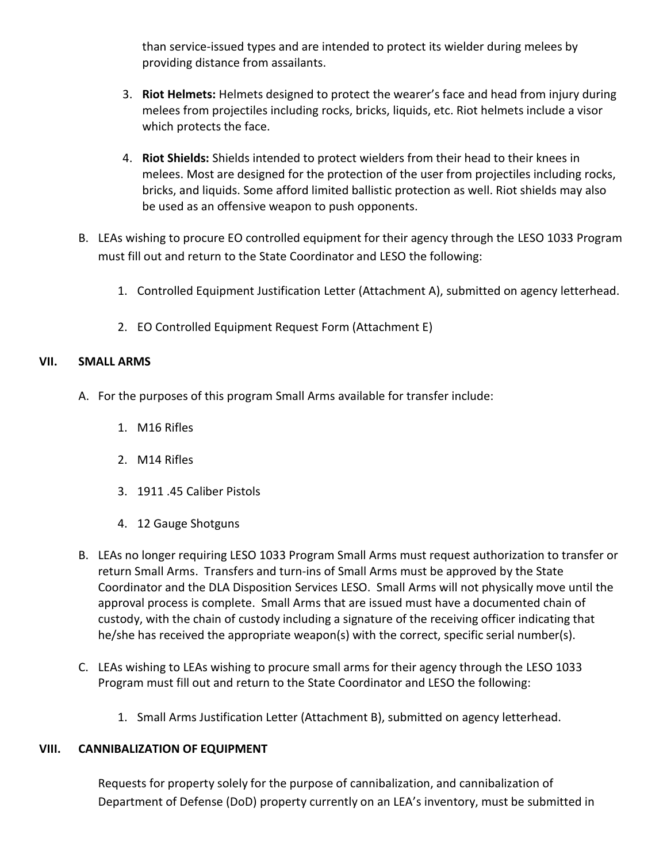than service-issued types and are intended to protect its wielder during melees by providing distance from assailants.

- 3. **Riot Helmets:** Helmets designed to protect the wearer's face and head from injury during melees from projectiles including rocks, bricks, liquids, etc. Riot helmets include a visor which protects the face.
- 4. **Riot Shields:** Shields intended to protect wielders from their head to their knees in melees. Most are designed for the protection of the user from projectiles including rocks, bricks, and liquids. Some afford limited ballistic protection as well. Riot shields may also be used as an offensive weapon to push opponents.
- B. LEAs wishing to procure EO controlled equipment for their agency through the LESO 1033 Program must fill out and return to the State Coordinator and LESO the following:
	- 1. Controlled Equipment Justification Letter (Attachment A), submitted on agency letterhead.
	- 2. EO Controlled Equipment Request Form (Attachment E)

# **VII. SMALL ARMS**

- A. For the purposes of this program Small Arms available for transfer include:
	- 1. M16 Rifles
	- 2. M14 Rifles
	- 3. 1911 .45 Caliber Pistols
	- 4. 12 Gauge Shotguns
- B. LEAs no longer requiring LESO 1033 Program Small Arms must request authorization to transfer or return Small Arms. Transfers and turn-ins of Small Arms must be approved by the State Coordinator and the DLA Disposition Services LESO. Small Arms will not physically move until the approval process is complete. Small Arms that are issued must have a documented chain of custody, with the chain of custody including a signature of the receiving officer indicating that he/she has received the appropriate weapon(s) with the correct, specific serial number(s).
- C. LEAs wishing to LEAs wishing to procure small arms for their agency through the LESO 1033 Program must fill out and return to the State Coordinator and LESO the following:
	- 1. Small Arms Justification Letter (Attachment B), submitted on agency letterhead.

# **VIII. CANNIBALIZATION OF EQUIPMENT**

Requests for property solely for the purpose of cannibalization, and cannibalization of Department of Defense (DoD) property currently on an LEA's inventory, must be submitted in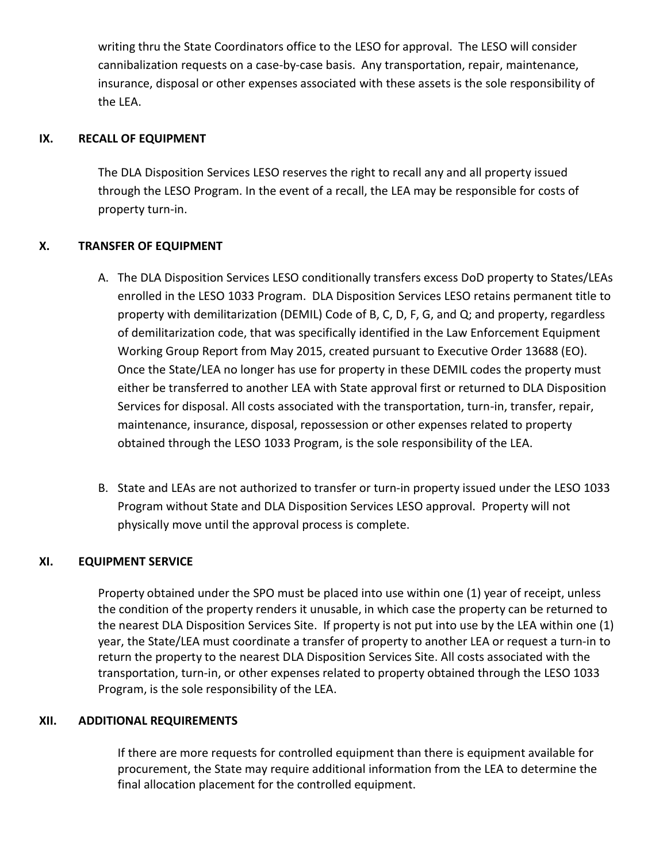writing thru the State Coordinators office to the LESO for approval. The LESO will consider cannibalization requests on a case-by-case basis. Any transportation, repair, maintenance, insurance, disposal or other expenses associated with these assets is the sole responsibility of the LEA.

### **IX. RECALL OF EQUIPMENT**

The DLA Disposition Services LESO reserves the right to recall any and all property issued through the LESO Program. In the event of a recall, the LEA may be responsible for costs of property turn-in.

## **X. TRANSFER OF EQUIPMENT**

- A. The DLA Disposition Services LESO conditionally transfers excess DoD property to States/LEAs enrolled in the LESO 1033 Program. DLA Disposition Services LESO retains permanent title to property with demilitarization (DEMIL) Code of B, C, D, F, G, and Q; and property, regardless of demilitarization code, that was specifically identified in the Law Enforcement Equipment Working Group Report from May 2015, created pursuant to Executive Order 13688 (EO). Once the State/LEA no longer has use for property in these DEMIL codes the property must either be transferred to another LEA with State approval first or returned to DLA Disposition Services for disposal. All costs associated with the transportation, turn-in, transfer, repair, maintenance, insurance, disposal, repossession or other expenses related to property obtained through the LESO 1033 Program, is the sole responsibility of the LEA.
- B. State and LEAs are not authorized to transfer or turn-in property issued under the LESO 1033 Program without State and DLA Disposition Services LESO approval. Property will not physically move until the approval process is complete.

### **XI. EQUIPMENT SERVICE**

Property obtained under the SPO must be placed into use within one (1) year of receipt, unless the condition of the property renders it unusable, in which case the property can be returned to the nearest DLA Disposition Services Site. If property is not put into use by the LEA within one (1) year, the State/LEA must coordinate a transfer of property to another LEA or request a turn-in to return the property to the nearest DLA Disposition Services Site. All costs associated with the transportation, turn-in, or other expenses related to property obtained through the LESO 1033 Program, is the sole responsibility of the LEA.

### **XII. ADDITIONAL REQUIREMENTS**

If there are more requests for controlled equipment than there is equipment available for procurement, the State may require additional information from the LEA to determine the final allocation placement for the controlled equipment.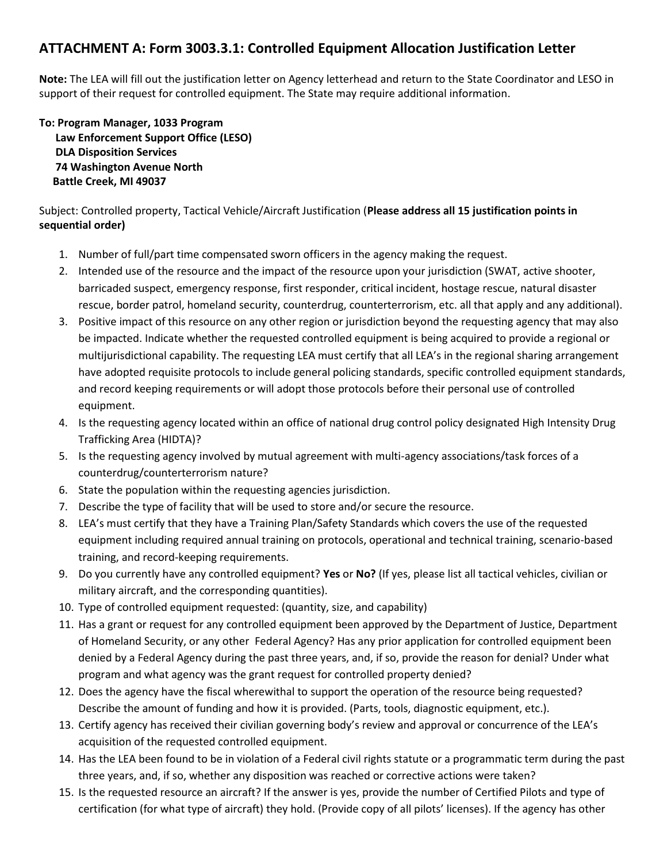# **ATTACHMENT A: Form 3003.3.1: Controlled Equipment Allocation Justification Letter**

**Note:** The LEA will fill out the justification letter on Agency letterhead and return to the State Coordinator and LESO in support of their request for controlled equipment. The State may require additional information.

**To: Program Manager, 1033 Program Law Enforcement Support Office (LESO) DLA Disposition Services 74 Washington Avenue North Battle Creek, MI 49037**

Subject: Controlled property, Tactical Vehicle/Aircraft Justification (**Please address all 15 justification points in sequential order)**

- 1. Number of full/part time compensated sworn officers in the agency making the request.
- 2. Intended use of the resource and the impact of the resource upon your jurisdiction (SWAT, active shooter, barricaded suspect, emergency response, first responder, critical incident, hostage rescue, natural disaster rescue, border patrol, homeland security, counterdrug, counterterrorism, etc. all that apply and any additional).
- 3. Positive impact of this resource on any other region or jurisdiction beyond the requesting agency that may also be impacted. Indicate whether the requested controlled equipment is being acquired to provide a regional or multijurisdictional capability. The requesting LEA must certify that all LEA's in the regional sharing arrangement have adopted requisite protocols to include general policing standards, specific controlled equipment standards, and record keeping requirements or will adopt those protocols before their personal use of controlled equipment.
- 4. Is the requesting agency located within an office of national drug control policy designated High Intensity Drug Trafficking Area (HIDTA)?
- 5. Is the requesting agency involved by mutual agreement with multi-agency associations/task forces of a counterdrug/counterterrorism nature?
- 6. State the population within the requesting agencies jurisdiction.
- 7. Describe the type of facility that will be used to store and/or secure the resource.
- 8. LEA's must certify that they have a Training Plan/Safety Standards which covers the use of the requested equipment including required annual training on protocols, operational and technical training, scenario-based training, and record-keeping requirements.
- 9. Do you currently have any controlled equipment? **Yes** or **No?** (If yes, please list all tactical vehicles, civilian or military aircraft, and the corresponding quantities).
- 10. Type of controlled equipment requested: (quantity, size, and capability)
- 11. Has a grant or request for any controlled equipment been approved by the Department of Justice, Department of Homeland Security, or any other Federal Agency? Has any prior application for controlled equipment been denied by a Federal Agency during the past three years, and, if so, provide the reason for denial? Under what program and what agency was the grant request for controlled property denied?
- 12. Does the agency have the fiscal wherewithal to support the operation of the resource being requested? Describe the amount of funding and how it is provided. (Parts, tools, diagnostic equipment, etc.).
- 13. Certify agency has received their civilian governing body's review and approval or concurrence of the LEA's acquisition of the requested controlled equipment.
- 14. Has the LEA been found to be in violation of a Federal civil rights statute or a programmatic term during the past three years, and, if so, whether any disposition was reached or corrective actions were taken?
- 15. Is the requested resource an aircraft? If the answer is yes, provide the number of Certified Pilots and type of certification (for what type of aircraft) they hold. (Provide copy of all pilots' licenses). If the agency has other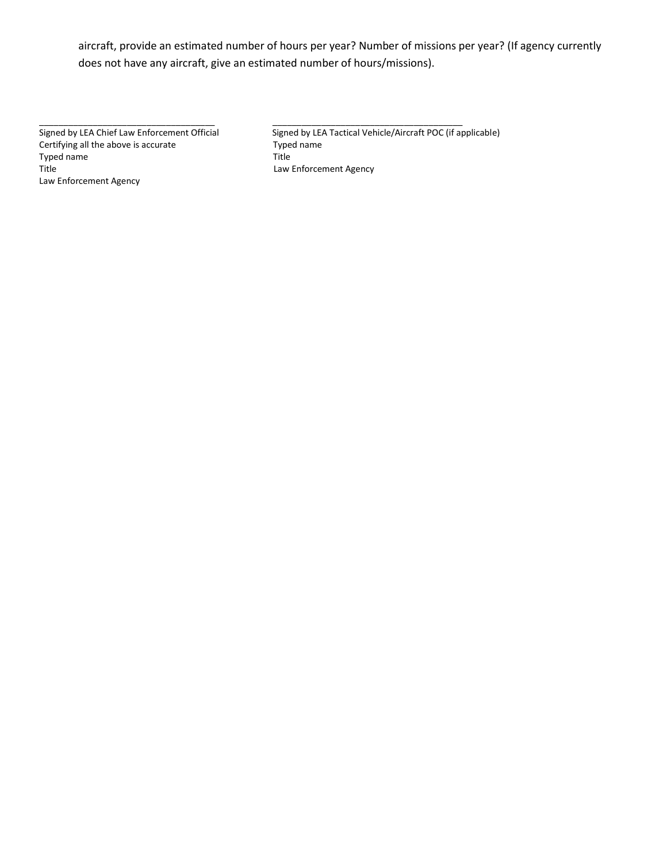aircraft, provide an estimated number of hours per year? Number of missions per year? (If agency currently does not have any aircraft, give an estimated number of hours/missions).

\_\_\_\_\_\_\_\_\_\_\_\_\_\_\_\_\_\_\_\_\_\_\_\_\_\_\_\_\_\_\_\_\_\_\_\_ \_\_\_\_\_\_\_\_\_\_\_\_\_\_\_\_\_\_\_\_\_\_\_\_\_\_\_\_\_\_\_\_\_\_\_\_\_\_\_

Certifying all the above is accurate Type<br>Typed name Title Typed name Title Law Enforcement Agency

Signed by LEA Chief Law Enforcement Official Signed by LEA Tactical Vehicle/Aircraft POC (if applicable)<br>Certifying all the above is accurate Typed name Law Enforcement Agency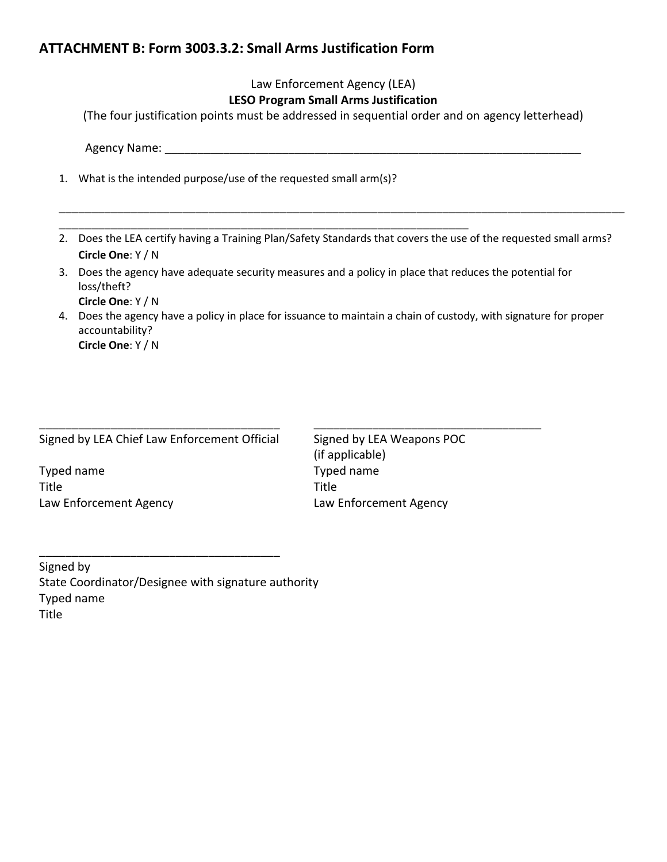# **ATTACHMENT B: Form 3003.3.2: Small Arms Justification Form**

|                |                                                                                               | Law Enforcement Agency (LEA)<br><b>LESO Program Small Arms Justification</b><br>(The four justification points must be addressed in sequential order and on agency letterhead)                                                                                                                                                         |
|----------------|-----------------------------------------------------------------------------------------------|----------------------------------------------------------------------------------------------------------------------------------------------------------------------------------------------------------------------------------------------------------------------------------------------------------------------------------------|
|                | Agency Name:                                                                                  |                                                                                                                                                                                                                                                                                                                                        |
| 1.             | What is the intended purpose/use of the requested small arm(s)?                               |                                                                                                                                                                                                                                                                                                                                        |
| 2.<br>3.<br>4. | Circle One: Y / N<br>loss/theft?<br>Circle One: Y / N<br>accountability?<br>Circle One: Y / N | Does the LEA certify having a Training Plan/Safety Standards that covers the use of the requested small arms?<br>Does the agency have adequate security measures and a policy in place that reduces the potential for<br>Does the agency have a policy in place for issuance to maintain a chain of custody, with signature for proper |
| Title          | Signed by LEA Chief Law Enforcement Official<br>Typed name<br>Law Enforcement Agency          | Signed by LEA Weapons POC<br>(if applicable)<br>Typed name<br>Title<br>Law Enforcement Agency                                                                                                                                                                                                                                          |

Signed by State Coordinator/Designee with signature authority Typed name Title

\_\_\_\_\_\_\_\_\_\_\_\_\_\_\_\_\_\_\_\_\_\_\_\_\_\_\_\_\_\_\_\_\_\_\_\_\_

Typed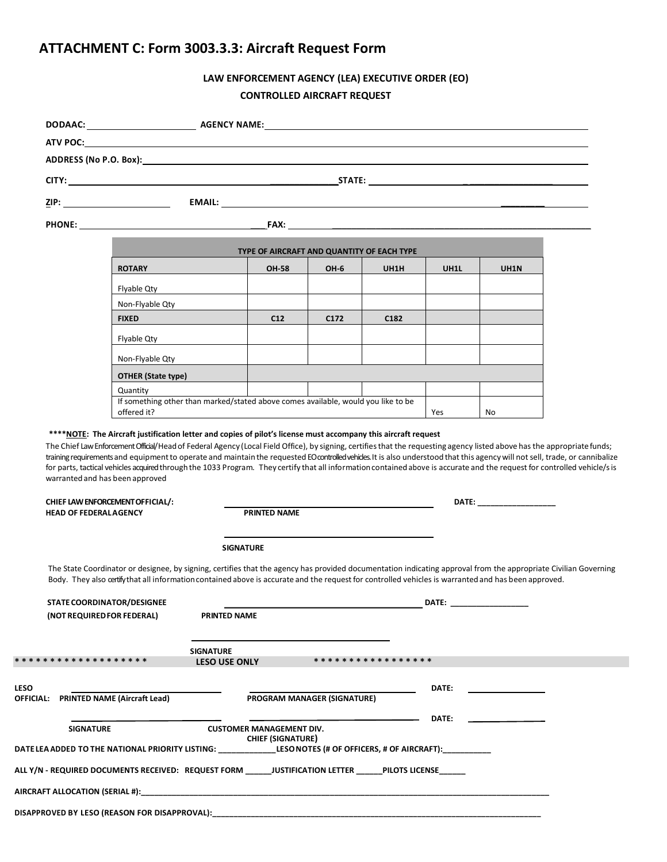# **ATTACHMENT C: Form 3003.3.3: Aircraft Request Form**

# **LAW ENFORCEMENT AGENCY (LEA) EXECUTIVE ORDER (EO) CONTROLLED AIRCRAFT REQUEST**

|                  | ADDRESS (No P.O. Box): North State (No P.O. Box): North State (No P.O. Box): North State (No P.O. Box): North State (No P.O. Box): North State (No. 81): North State (No. 81): North State (No. 81): North State (No. 81): Nor                                                                                                                                                                                                                                                                                                                                                                                                                                                              |                                          |                                                             |                  |                                                                                                                                                                                                                                     |                                                                                                                                                                                                                                |                                                                                                                                                                                                                                |  |
|------------------|---------------------------------------------------------------------------------------------------------------------------------------------------------------------------------------------------------------------------------------------------------------------------------------------------------------------------------------------------------------------------------------------------------------------------------------------------------------------------------------------------------------------------------------------------------------------------------------------------------------------------------------------------------------------------------------------|------------------------------------------|-------------------------------------------------------------|------------------|-------------------------------------------------------------------------------------------------------------------------------------------------------------------------------------------------------------------------------------|--------------------------------------------------------------------------------------------------------------------------------------------------------------------------------------------------------------------------------|--------------------------------------------------------------------------------------------------------------------------------------------------------------------------------------------------------------------------------|--|
|                  |                                                                                                                                                                                                                                                                                                                                                                                                                                                                                                                                                                                                                                                                                             |                                          |                                                             |                  |                                                                                                                                                                                                                                     |                                                                                                                                                                                                                                |                                                                                                                                                                                                                                |  |
|                  |                                                                                                                                                                                                                                                                                                                                                                                                                                                                                                                                                                                                                                                                                             |                                          |                                                             |                  |                                                                                                                                                                                                                                     |                                                                                                                                                                                                                                |                                                                                                                                                                                                                                |  |
|                  |                                                                                                                                                                                                                                                                                                                                                                                                                                                                                                                                                                                                                                                                                             |                                          |                                                             |                  | <b>FAX:</b> The contract of the contract of the contract of the contract of the contract of the contract of the contract of the contract of the contract of the contract of the contract of the contract of the contract of the con |                                                                                                                                                                                                                                |                                                                                                                                                                                                                                |  |
|                  |                                                                                                                                                                                                                                                                                                                                                                                                                                                                                                                                                                                                                                                                                             |                                          |                                                             |                  | TYPE OF AIRCRAFT AND QUANTITY OF EACH TYPE                                                                                                                                                                                          |                                                                                                                                                                                                                                |                                                                                                                                                                                                                                |  |
|                  | <b>ROTARY</b>                                                                                                                                                                                                                                                                                                                                                                                                                                                                                                                                                                                                                                                                               |                                          | <b>OH-58</b>                                                | OH-6             | UH1H                                                                                                                                                                                                                                | UH1L                                                                                                                                                                                                                           | UH1N                                                                                                                                                                                                                           |  |
|                  | Flyable Qty                                                                                                                                                                                                                                                                                                                                                                                                                                                                                                                                                                                                                                                                                 |                                          |                                                             |                  |                                                                                                                                                                                                                                     |                                                                                                                                                                                                                                |                                                                                                                                                                                                                                |  |
|                  | Non-Flyable Qty                                                                                                                                                                                                                                                                                                                                                                                                                                                                                                                                                                                                                                                                             |                                          |                                                             |                  |                                                                                                                                                                                                                                     |                                                                                                                                                                                                                                |                                                                                                                                                                                                                                |  |
|                  | <b>FIXED</b>                                                                                                                                                                                                                                                                                                                                                                                                                                                                                                                                                                                                                                                                                |                                          | C12                                                         | C <sub>172</sub> | C <sub>182</sub>                                                                                                                                                                                                                    |                                                                                                                                                                                                                                |                                                                                                                                                                                                                                |  |
|                  | Flyable Qty                                                                                                                                                                                                                                                                                                                                                                                                                                                                                                                                                                                                                                                                                 |                                          |                                                             |                  |                                                                                                                                                                                                                                     |                                                                                                                                                                                                                                |                                                                                                                                                                                                                                |  |
|                  | Non-Flyable Qty                                                                                                                                                                                                                                                                                                                                                                                                                                                                                                                                                                                                                                                                             |                                          |                                                             |                  |                                                                                                                                                                                                                                     |                                                                                                                                                                                                                                |                                                                                                                                                                                                                                |  |
|                  | OTHER (State type)                                                                                                                                                                                                                                                                                                                                                                                                                                                                                                                                                                                                                                                                          |                                          |                                                             |                  |                                                                                                                                                                                                                                     |                                                                                                                                                                                                                                |                                                                                                                                                                                                                                |  |
|                  | Quantity                                                                                                                                                                                                                                                                                                                                                                                                                                                                                                                                                                                                                                                                                    |                                          |                                                             |                  |                                                                                                                                                                                                                                     |                                                                                                                                                                                                                                |                                                                                                                                                                                                                                |  |
|                  | If something other than marked/stated above comes available, would you like to be<br>offered it?                                                                                                                                                                                                                                                                                                                                                                                                                                                                                                                                                                                            |                                          |                                                             |                  |                                                                                                                                                                                                                                     |                                                                                                                                                                                                                                |                                                                                                                                                                                                                                |  |
|                  | **** NOTE: The Aircraft justification letter and copies of pilot's license must accompany this aircraft request<br>The Chief Law Enforcement Official/Head of Federal Agency (Local Field Office), by signing, certifies that the requesting agency listed above has the appropriate funds;<br>training requirements and equipment to operate and maintain the requested EO controlled vehides. It is also understood that this agency will not sell, trade, or cannibalize<br>for parts, tactical vehicles acquired through the 1033 Program. They certify that all information contained above is accurate and the request for controlled vehicle/s is<br>warranted and has been approved |                                          |                                                             |                  |                                                                                                                                                                                                                                     | Yes                                                                                                                                                                                                                            | No                                                                                                                                                                                                                             |  |
|                  | CHIEF LAW ENFORCEMENT OF FICIAL/:                                                                                                                                                                                                                                                                                                                                                                                                                                                                                                                                                                                                                                                           |                                          |                                                             |                  |                                                                                                                                                                                                                                     |                                                                                                                                                                                                                                | DATE: the contract of the contract of the contract of the contract of the contract of the contract of the contract of the contract of the contract of the contract of the contract of the contract of the contract of the cont |  |
|                  | <b>HEAD OF FEDERAL AGENCY</b>                                                                                                                                                                                                                                                                                                                                                                                                                                                                                                                                                                                                                                                               |                                          | <b>PRINTED NAME</b>                                         |                  |                                                                                                                                                                                                                                     |                                                                                                                                                                                                                                |                                                                                                                                                                                                                                |  |
|                  |                                                                                                                                                                                                                                                                                                                                                                                                                                                                                                                                                                                                                                                                                             | <b>SIGNATURE</b>                         |                                                             |                  |                                                                                                                                                                                                                                     |                                                                                                                                                                                                                                |                                                                                                                                                                                                                                |  |
|                  | The State Coordinator or designee, by signing, certifies that the agency has provided documentation indicating approval from the appropriate Civilian Governing<br>Body. They also certify that all information contained above is accurate and the request for controlled vehicles is warranted and has been approved.                                                                                                                                                                                                                                                                                                                                                                     |                                          |                                                             |                  |                                                                                                                                                                                                                                     |                                                                                                                                                                                                                                |                                                                                                                                                                                                                                |  |
|                  | <b>STATE COORDINATOR/DESIGNEE</b>                                                                                                                                                                                                                                                                                                                                                                                                                                                                                                                                                                                                                                                           |                                          |                                                             |                  |                                                                                                                                                                                                                                     | DATE: the contract of the contract of the contract of the contract of the contract of the contract of the contract of the contract of the contract of the contract of the contract of the contract of the contract of the cont |                                                                                                                                                                                                                                |  |
|                  | (NOT REQUIRED FOR FEDERAL)                                                                                                                                                                                                                                                                                                                                                                                                                                                                                                                                                                                                                                                                  | <b>PRINTED NAME</b>                      |                                                             |                  |                                                                                                                                                                                                                                     |                                                                                                                                                                                                                                |                                                                                                                                                                                                                                |  |
|                  |                                                                                                                                                                                                                                                                                                                                                                                                                                                                                                                                                                                                                                                                                             |                                          |                                                             |                  |                                                                                                                                                                                                                                     |                                                                                                                                                                                                                                |                                                                                                                                                                                                                                |  |
|                  | * * * * * * * * * * * * * * * * * * *                                                                                                                                                                                                                                                                                                                                                                                                                                                                                                                                                                                                                                                       | <b>SIGNATURE</b><br><b>LESO USE ONLY</b> |                                                             |                  | * * * * * * * * * * * * * * * * *                                                                                                                                                                                                   |                                                                                                                                                                                                                                |                                                                                                                                                                                                                                |  |
|                  |                                                                                                                                                                                                                                                                                                                                                                                                                                                                                                                                                                                                                                                                                             |                                          |                                                             |                  |                                                                                                                                                                                                                                     |                                                                                                                                                                                                                                |                                                                                                                                                                                                                                |  |
|                  | OFFICIAL: PRINTED NAME (Aircraft Lead)                                                                                                                                                                                                                                                                                                                                                                                                                                                                                                                                                                                                                                                      |                                          | <b>PROGRAM MANAGER (SIGNATURE)</b>                          |                  |                                                                                                                                                                                                                                     | DATE:                                                                                                                                                                                                                          |                                                                                                                                                                                                                                |  |
| <b>SIGNATURE</b> |                                                                                                                                                                                                                                                                                                                                                                                                                                                                                                                                                                                                                                                                                             |                                          |                                                             |                  |                                                                                                                                                                                                                                     | DATE:                                                                                                                                                                                                                          |                                                                                                                                                                                                                                |  |
|                  | DATE LEA ADDED TO THE NATIONAL PRIORITY LISTING: ______________LESONOTES (# OF OFFICERS, # OF AIRCRAFT):___________                                                                                                                                                                                                                                                                                                                                                                                                                                                                                                                                                                         |                                          | <b>CUSTOMER MANAGEMENT DIV.</b><br><b>CHIEF (SIGNATURE)</b> |                  |                                                                                                                                                                                                                                     |                                                                                                                                                                                                                                |                                                                                                                                                                                                                                |  |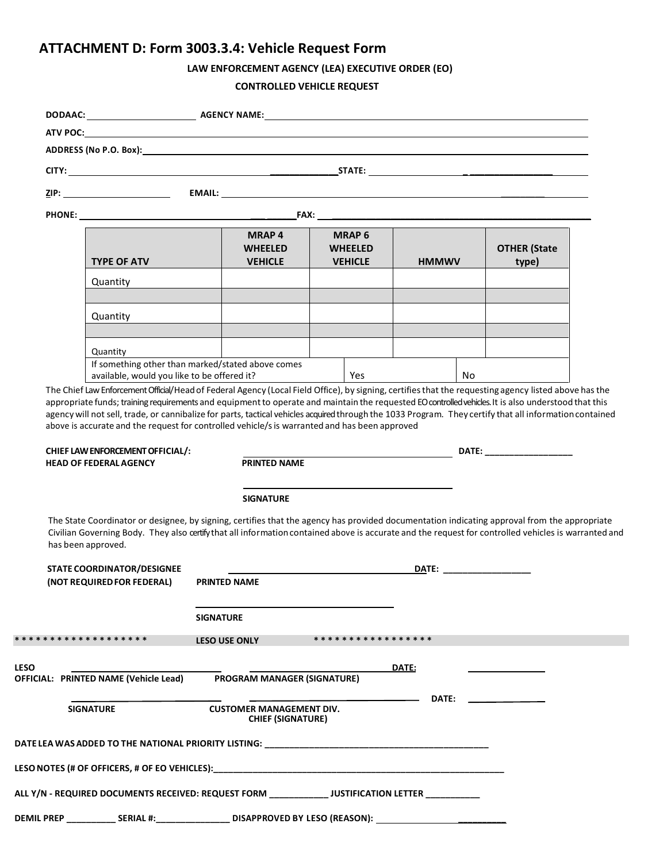# **ATTACHMENT D: Form 3003.3.4: Vehicle Request Form**

# **LAW ENFORCEMENT AGENCY (LEA) EXECUTIVE ORDER (EO)**

#### **CONTROLLED VEHICLE REQUEST**

| <b>TYPE OF ATV</b>                                                | <b>MRAP4</b><br><b>WHEELED</b><br><b>VEHICLE</b>                                                                                                                                                                                                                                                     | <b>MRAP 6</b><br><b>WHEELED</b><br><b>VEHICLE</b>                                             | <b>HMMWV</b>                                                                                                                                                                                                                   | <b>OTHER</b> (State<br>type) |
|-------------------------------------------------------------------|------------------------------------------------------------------------------------------------------------------------------------------------------------------------------------------------------------------------------------------------------------------------------------------------------|-----------------------------------------------------------------------------------------------|--------------------------------------------------------------------------------------------------------------------------------------------------------------------------------------------------------------------------------|------------------------------|
| Quantity                                                          |                                                                                                                                                                                                                                                                                                      |                                                                                               |                                                                                                                                                                                                                                |                              |
| Quantity                                                          |                                                                                                                                                                                                                                                                                                      |                                                                                               |                                                                                                                                                                                                                                |                              |
| Quantity<br>available, would you like to be offered it?           | If something other than marked/stated above comes                                                                                                                                                                                                                                                    | Yes                                                                                           | No.                                                                                                                                                                                                                            |                              |
| CHIEF LAW ENFORCEMENT OFFICIAL/:<br><b>HEAD OF FEDERAL AGENCY</b> | <b>PRINTED NAME</b>                                                                                                                                                                                                                                                                                  | above is accurate and the request for controlled vehicle/s is warranted and has been approved |                                                                                                                                                                                                                                |                              |
|                                                                   | <b>SIGNATURE</b>                                                                                                                                                                                                                                                                                     |                                                                                               |                                                                                                                                                                                                                                |                              |
| has been approved.                                                | The State Coordinator or designee, by signing, certifies that the agency has provided documentation indicating approval from the appropriate<br>Civilian Governing Body. They also certify that all information contained above is accurate and the request for controlled vehicles is warranted and |                                                                                               |                                                                                                                                                                                                                                |                              |
| STATE COORDINATOR/DESIGNEE<br>(NOT REQUIRED FOR FEDERAL)          | <b>PRINTED NAME</b>                                                                                                                                                                                                                                                                                  |                                                                                               | DATE: the contract of the contract of the contract of the contract of the contract of the contract of the contract of the contract of the contract of the contract of the contract of the contract of the contract of the cont |                              |
|                                                                   | <b>SIGNATURE</b>                                                                                                                                                                                                                                                                                     |                                                                                               |                                                                                                                                                                                                                                |                              |
| ******************                                                | <b>LESO USE ONLY</b>                                                                                                                                                                                                                                                                                 | * * * * * * * * * * * * * * * * *                                                             |                                                                                                                                                                                                                                |                              |
| OFFICIAL: PRINTED NAME (Vehicle Lead)                             | PROGRAM MANAGER (SIGNATURE)                                                                                                                                                                                                                                                                          |                                                                                               | DATE:                                                                                                                                                                                                                          |                              |
| <b>SIGNATURE</b>                                                  | <b>CUSTOMER MANAGEMENT DIV.</b><br><b>CHIEF (SIGNATURE)</b>                                                                                                                                                                                                                                          |                                                                                               | <b>DATE:</b>                                                                                                                                                                                                                   |                              |
|                                                                   | DATE LEA WAS ADDED TO THE NATIONAL PRIORITY LISTING: NATIONALLY AND AN AND THE NATIONAL PRIOR OF A SAMPLE AND                                                                                                                                                                                        |                                                                                               |                                                                                                                                                                                                                                |                              |
|                                                                   |                                                                                                                                                                                                                                                                                                      |                                                                                               |                                                                                                                                                                                                                                |                              |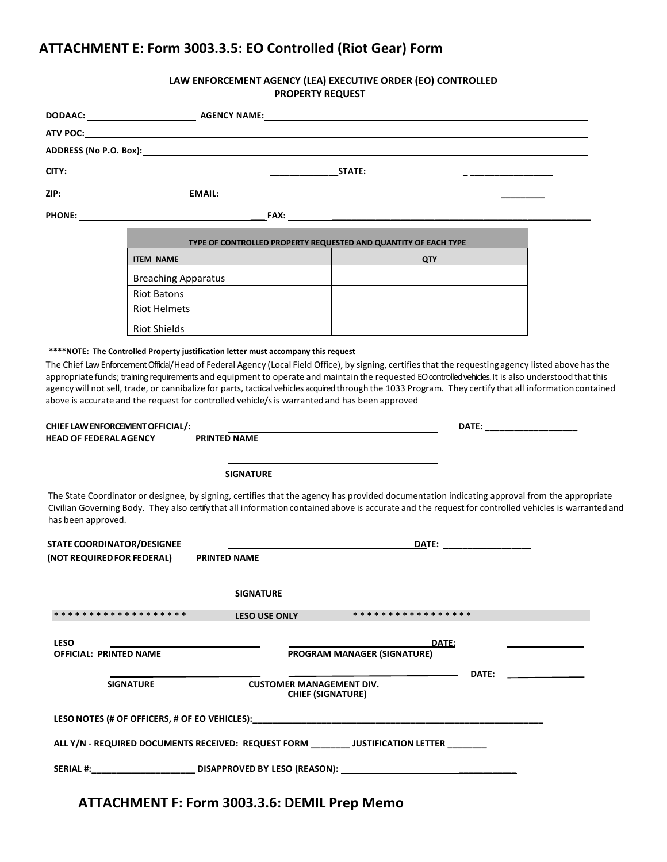# **ATTACHMENT E: Form 3003.3.5: EO Controlled (Riot Gear) Form**

#### **LAW ENFORCEMENT AGENCY (LEA) EXECUTIVE ORDER (EO) CONTROLLED PROPERTY REQUEST**

|                                                                   |                                           | ADDRESS (No P.O. Box): A contract the state of the state of the state of the state of the state of the state o                                                                                                                 |                                    |              |                                                                                                                                                      |
|-------------------------------------------------------------------|-------------------------------------------|--------------------------------------------------------------------------------------------------------------------------------------------------------------------------------------------------------------------------------|------------------------------------|--------------|------------------------------------------------------------------------------------------------------------------------------------------------------|
|                                                                   |                                           |                                                                                                                                                                                                                                |                                    |              |                                                                                                                                                      |
|                                                                   |                                           |                                                                                                                                                                                                                                |                                    |              |                                                                                                                                                      |
|                                                                   |                                           | PHONE: The contract of the contract of the contract of the contract of the contract of the contract of the contract of the contract of the contract of the contract of the contract of the contract of the contract of the con |                                    |              |                                                                                                                                                      |
|                                                                   |                                           |                                                                                                                                                                                                                                |                                    |              |                                                                                                                                                      |
|                                                                   | <b>ITEM NAME</b>                          | TYPE OF CONTROLLED PROPERTY REQUESTED AND QUANTITY OF EACH TYPE                                                                                                                                                                |                                    | <b>QTY</b>   |                                                                                                                                                      |
|                                                                   |                                           |                                                                                                                                                                                                                                |                                    |              |                                                                                                                                                      |
|                                                                   | <b>Breaching Apparatus</b><br>Riot Batons |                                                                                                                                                                                                                                |                                    |              |                                                                                                                                                      |
|                                                                   | <b>Riot Helmets</b>                       |                                                                                                                                                                                                                                |                                    |              |                                                                                                                                                      |
|                                                                   | <b>Riot Shields</b>                       |                                                                                                                                                                                                                                |                                    |              |                                                                                                                                                      |
|                                                                   |                                           |                                                                                                                                                                                                                                |                                    |              |                                                                                                                                                      |
| CHIEF LAW ENFORCEMENT OFFICIAL/:<br><b>HEAD OF FEDERAL AGENCY</b> |                                           | above is accurate and the request for controlled vehicle/s is warranted and has been approved<br><b>PRINTED NAME</b>                                                                                                           |                                    |              |                                                                                                                                                      |
|                                                                   |                                           |                                                                                                                                                                                                                                |                                    |              |                                                                                                                                                      |
|                                                                   |                                           | <b>SIGNATURE</b>                                                                                                                                                                                                               |                                    |              |                                                                                                                                                      |
| has been approved.                                                |                                           | The State Coordinator or designee, by signing, certifies that the agency has provided documentation indicating approval from the appropriate                                                                                   |                                    |              | Civilian Governing Body. They also certify that all information contained above is accurate and the request for controlled vehicles is warranted and |
| <b>STATE COORDINATOR/DESIGNEE</b>                                 |                                           |                                                                                                                                                                                                                                |                                    |              |                                                                                                                                                      |
| (NOT REQUIRED FOR FEDERAL)                                        |                                           | <b>PRINTED NAME</b>                                                                                                                                                                                                            |                                    |              |                                                                                                                                                      |
|                                                                   |                                           | <b>SIGNATURE</b>                                                                                                                                                                                                               |                                    |              |                                                                                                                                                      |
| * * * * * * * * * * * * * * * * * * *                             |                                           | <b>LESO USE ONLY</b>                                                                                                                                                                                                           | * * * * * * * * * * * * * * * * *  |              |                                                                                                                                                      |
|                                                                   |                                           |                                                                                                                                                                                                                                |                                    |              |                                                                                                                                                      |
| <b>LESO</b><br><b>OFFICIAL: PRINTED NAME</b>                      |                                           |                                                                                                                                                                                                                                | <b>PROGRAM MANAGER (SIGNATURE)</b> | DATE:        |                                                                                                                                                      |
|                                                                   |                                           |                                                                                                                                                                                                                                |                                    | <b>DATE:</b> |                                                                                                                                                      |
| <b>SIGNATURE</b>                                                  |                                           | <b>CUSTOMER MANAGEMENT DIV.</b><br><b>CHIEF (SIGNATURE)</b>                                                                                                                                                                    |                                    |              |                                                                                                                                                      |
|                                                                   |                                           | LESO NOTES (# OF OFFICERS, # OF EO VEHICLES):                                                                                                                                                                                  |                                    |              |                                                                                                                                                      |
|                                                                   |                                           | ALL Y/N - REQUIRED DOCUMENTS RECEIVED: REQUEST FORM _________ JUSTIFICATION LETTER ________                                                                                                                                    |                                    |              |                                                                                                                                                      |
| <b>SERIAL #:</b>                                                  |                                           |                                                                                                                                                                                                                                |                                    |              |                                                                                                                                                      |

**ATTACHMENT F: Form 3003.3.6: DEMIL Prep Memo**